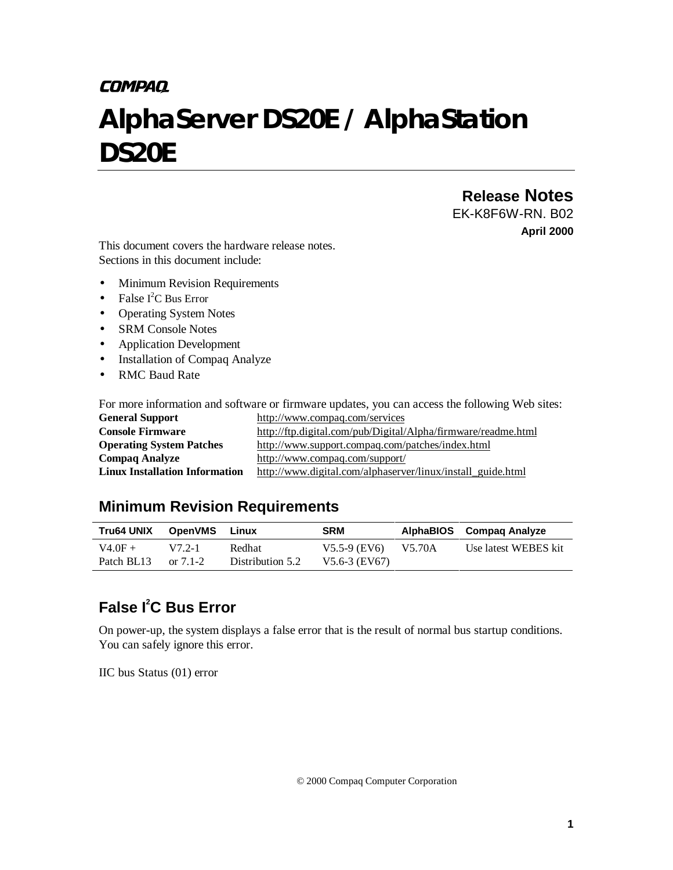# **COMPAQ**

# *AlphaServer DS20E / AlphaStation DS20E*

# **Release Notes**

EK-K8F6W-RN. B02 **April 2000**

This document covers the hardware release notes. Sections in this document include:

- Minimum Revision Requirements
- False  $I^2C$  Bus Error
- Operating System Notes
- SRM Console Notes
- Application Development
- Installation of Compaq Analyze
- RMC Baud Rate

For more information and software or firmware updates, you can access the following Web sites:

| <b>General Support</b>                | http://www.compaq.com/services                                |  |  |  |
|---------------------------------------|---------------------------------------------------------------|--|--|--|
| <b>Console Firmware</b>               | http://ftp.digital.com/pub/Digital/Alpha/firmware/readme.html |  |  |  |
| <b>Operating System Patches</b>       | http://www.support.compaq.com/patches/index.html              |  |  |  |
| <b>Compaq Analyze</b>                 | http://www.compaq.com/support/                                |  |  |  |
| <b>Linux Installation Information</b> | http://www.digital.com/alphaserver/linux/install_guide.html   |  |  |  |

## **Minimum Revision Requirements**

| Tru64 UNIX              | <b>OpenVMS Linux</b>  |                            | <b>SRM</b>                                 | AlphaBIOS Compag Analyze |
|-------------------------|-----------------------|----------------------------|--------------------------------------------|--------------------------|
| $V4.0F +$<br>Patch BL13 | $V72-1$<br>or $7.1-2$ | Redhat<br>Distribution 5.2 | $V5.5-9$ (EV6) $V5.70A$<br>$V5.6-3$ (EV67) | Use latest WEBES kit     |

# **False I2 C Bus Error**

On power-up, the system displays a false error that is the result of normal bus startup conditions. You can safely ignore this error.

IIC bus Status (01) error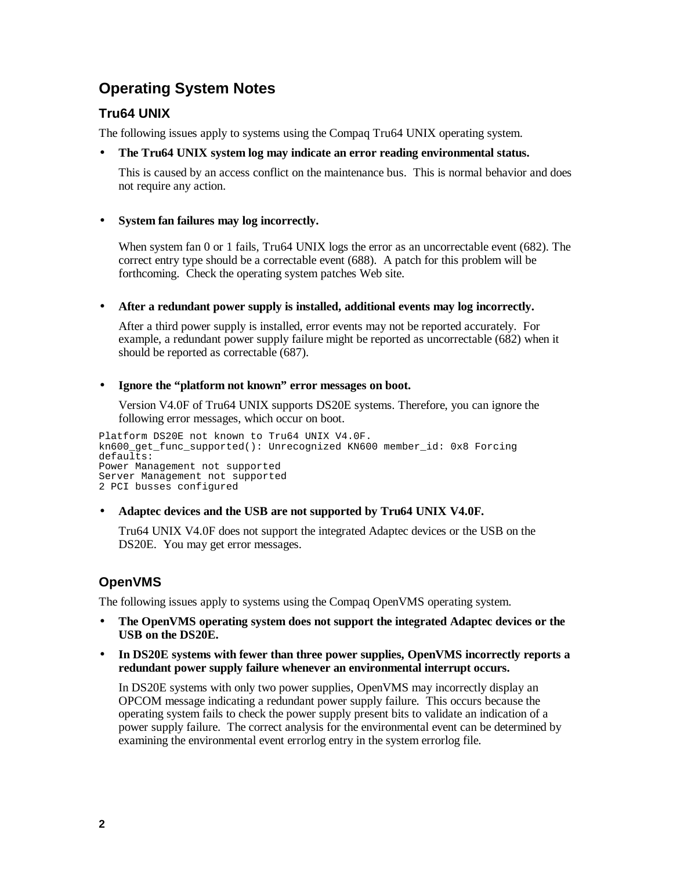# **Operating System Notes**

## **Tru64 UNIX**

The following issues apply to systems using the Compaq Tru64 UNIX operating system.

## • **The Tru64 UNIX system log may indicate an error reading environmental status.**

This is caused by an access conflict on the maintenance bus. This is normal behavior and does not require any action.

## • **System fan failures may log incorrectly.**

When system fan 0 or 1 fails, Tru64 UNIX logs the error as an uncorrectable event (682). The correct entry type should be a correctable event (688). A patch for this problem will be forthcoming. Check the operating system patches Web site.

## • **After a redundant power supply is installed, additional events may log incorrectly.**

After a third power supply is installed, error events may not be reported accurately. For example, a redundant power supply failure might be reported as uncorrectable (682) when it should be reported as correctable (687).

## • **Ignore the "platform not known" error messages on boot.**

Version V4.0F of Tru64 UNIX supports DS20E systems. Therefore, you can ignore the following error messages, which occur on boot.

Platform DS20E not known to Tru64 UNIX V4.0F. kn600\_get\_func\_supported(): Unrecognized KN600 member\_id: 0x8 Forcing defaults: Power Management not supported Server Management not supported 2 PCI busses configured

## • **Adaptec devices and the USB are not supported by Tru64 UNIX V4.0F.**

Tru64 UNIX V4.0F does not support the integrated Adaptec devices or the USB on the DS20E. You may get error messages.

## **OpenVMS**

The following issues apply to systems using the Compaq OpenVMS operating system.

- **The OpenVMS operating system does not support the integrated Adaptec devices or the USB on the DS20E.**
- **In DS20E systems with fewer than three power supplies, OpenVMS incorrectly reports a redundant power supply failure whenever an environmental interrupt occurs.**

In DS20E systems with only two power supplies, OpenVMS may incorrectly display an OPCOM message indicating a redundant power supply failure. This occurs because the operating system fails to check the power supply present bits to validate an indication of a power supply failure. The correct analysis for the environmental event can be determined by examining the environmental event errorlog entry in the system errorlog file.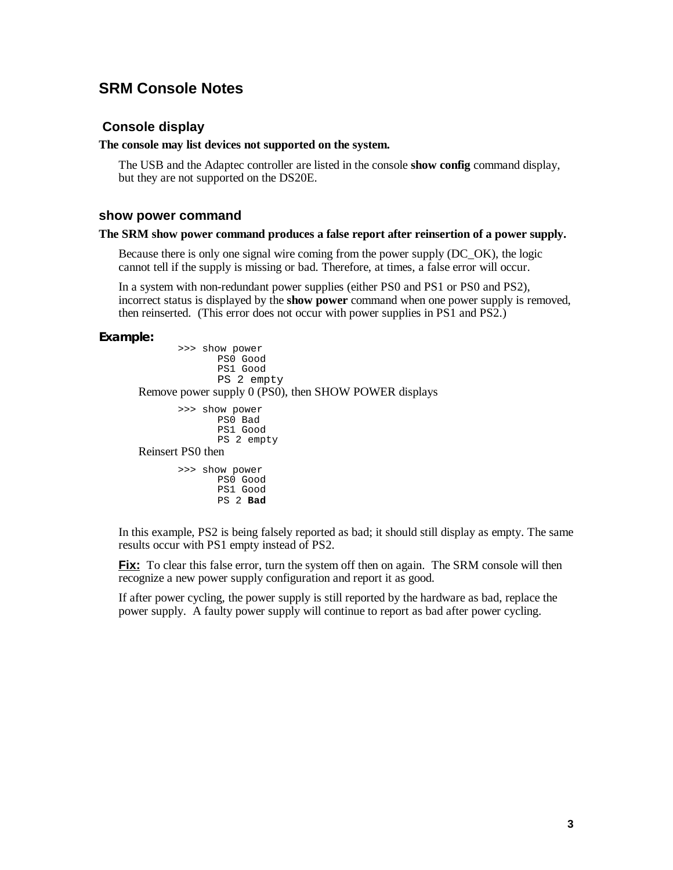## **SRM Console Notes**

## **Console display**

## **The console may list devices not supported on the system.**

The USB and the Adaptec controller are listed in the console **show config** command display, but they are not supported on the DS20E.

#### **show power command**

#### **The SRM show power command produces a false report after reinsertion of a power supply.**

Because there is only one signal wire coming from the power supply (DC\_OK), the logic cannot tell if the supply is missing or bad. Therefore, at times, a false error will occur.

In a system with non-redundant power supplies (either PS0 and PS1 or PS0 and PS2), incorrect status is displayed by the **show power** command when one power supply is removed, then reinserted. (This error does not occur with power supplies in PS1 and PS2.)

#### **Example:**

```
>>> show power
             PS0 Good
             PS1 Good
             PS 2 empty
Remove power supply 0 (PS0), then SHOW POWER displays
       >>> show power
             PS0 Bad
             PS1 Good
             PS 2 empty
Reinsert PS0 then
       >>> show power
             PS0 Good
             PS1 Good
```
PS 2 **Bad**

In this example, PS2 is being falsely reported as bad; it should still display as empty. The same results occur with PS1 empty instead of PS2.

**Fix:** To clear this false error, turn the system off then on again. The SRM console will then recognize a new power supply configuration and report it as good.

If after power cycling, the power supply is still reported by the hardware as bad, replace the power supply. A faulty power supply will continue to report as bad after power cycling.